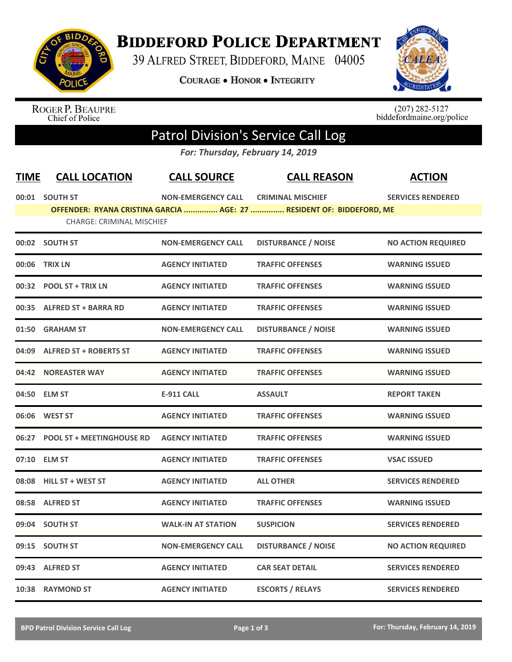

## **BIDDEFORD POLICE DEPARTMENT**

39 ALFRED STREET, BIDDEFORD, MAINE 04005

**COURAGE . HONOR . INTEGRITY** 



ROGER P. BEAUPRE<br>Chief of Police

 $(207)$  282-5127<br>biddefordmaine.org/police

## Patrol Division's Service Call Log

*For: Thursday, February 14, 2019*

| <b>TIME</b> | <b>CALL LOCATION</b>             | <b>CALL SOURCE</b>        | <b>CALL REASON</b>                                                   | <b>ACTION</b>             |
|-------------|----------------------------------|---------------------------|----------------------------------------------------------------------|---------------------------|
|             | 00:01 SOUTH ST                   | <b>NON-EMERGENCY CALL</b> | <b>CRIMINAL MISCHIEF</b>                                             | <b>SERVICES RENDERED</b>  |
|             | <b>CHARGE: CRIMINAL MISCHIEF</b> |                           | OFFENDER: RYANA CRISTINA GARCIA  AGE: 27  RESIDENT OF: BIDDEFORD, ME |                           |
|             | 00:02 SOUTH ST                   | <b>NON-EMERGENCY CALL</b> | <b>DISTURBANCE / NOISE</b>                                           | <b>NO ACTION REQUIRED</b> |
| 00:06       | <b>TRIX LN</b>                   | <b>AGENCY INITIATED</b>   | <b>TRAFFIC OFFENSES</b>                                              | <b>WARNING ISSUED</b>     |
|             | 00:32 POOL ST + TRIX LN          | <b>AGENCY INITIATED</b>   | <b>TRAFFIC OFFENSES</b>                                              | <b>WARNING ISSUED</b>     |
|             | 00:35 ALFRED ST + BARRA RD       | <b>AGENCY INITIATED</b>   | <b>TRAFFIC OFFENSES</b>                                              | <b>WARNING ISSUED</b>     |
| 01:50       | <b>GRAHAM ST</b>                 | <b>NON-EMERGENCY CALL</b> | <b>DISTURBANCE / NOISE</b>                                           | <b>WARNING ISSUED</b>     |
| 04:09       | <b>ALFRED ST + ROBERTS ST</b>    | <b>AGENCY INITIATED</b>   | <b>TRAFFIC OFFENSES</b>                                              | <b>WARNING ISSUED</b>     |
|             | 04:42 NOREASTER WAY              | <b>AGENCY INITIATED</b>   | <b>TRAFFIC OFFENSES</b>                                              | <b>WARNING ISSUED</b>     |
|             | 04:50 ELM ST                     | <b>E-911 CALL</b>         | <b>ASSAULT</b>                                                       | <b>REPORT TAKEN</b>       |
|             | 06:06 WEST ST                    | <b>AGENCY INITIATED</b>   | <b>TRAFFIC OFFENSES</b>                                              | <b>WARNING ISSUED</b>     |
| 06:27       | <b>POOL ST + MEETINGHOUSE RD</b> | <b>AGENCY INITIATED</b>   | <b>TRAFFIC OFFENSES</b>                                              | <b>WARNING ISSUED</b>     |
|             | 07:10 ELM ST                     | <b>AGENCY INITIATED</b>   | <b>TRAFFIC OFFENSES</b>                                              | <b>VSAC ISSUED</b>        |
|             | 08:08 HILL ST + WEST ST          | <b>AGENCY INITIATED</b>   | <b>ALL OTHER</b>                                                     | <b>SERVICES RENDERED</b>  |
| 08:58       | <b>ALFRED ST</b>                 | <b>AGENCY INITIATED</b>   | <b>TRAFFIC OFFENSES</b>                                              | <b>WARNING ISSUED</b>     |
| 09:04       | <b>SOUTH ST</b>                  | <b>WALK-IN AT STATION</b> | <b>SUSPICION</b>                                                     | <b>SERVICES RENDERED</b>  |
|             | 09:15 SOUTH ST                   | <b>NON-EMERGENCY CALL</b> | <b>DISTURBANCE / NOISE</b>                                           | <b>NO ACTION REQUIRED</b> |
|             | 09:43 ALFRED ST                  | <b>AGENCY INITIATED</b>   | <b>CAR SEAT DETAIL</b>                                               | <b>SERVICES RENDERED</b>  |
|             | 10:38 RAYMOND ST                 | <b>AGENCY INITIATED</b>   | <b>ESCORTS / RELAYS</b>                                              | <b>SERVICES RENDERED</b>  |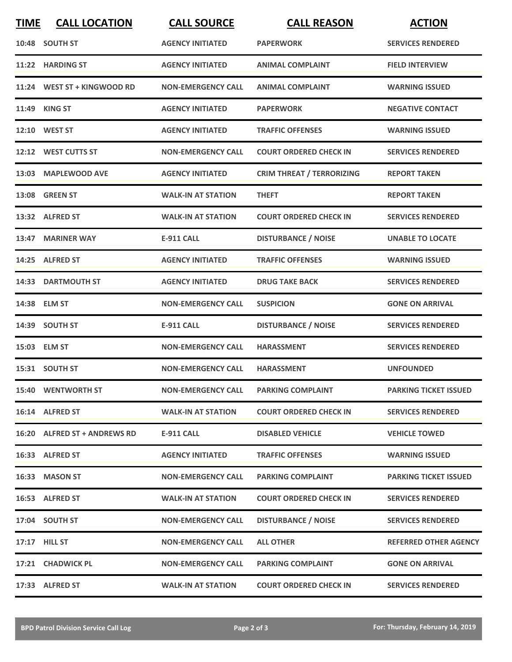| <b>TIME</b> | <b>CALL LOCATION</b>         | <b>CALL SOURCE</b>        | <b>CALL REASON</b>               | <b>ACTION</b>                |
|-------------|------------------------------|---------------------------|----------------------------------|------------------------------|
|             | 10:48 SOUTH ST               | <b>AGENCY INITIATED</b>   | <b>PAPERWORK</b>                 | <b>SERVICES RENDERED</b>     |
| 11:22       | <b>HARDING ST</b>            | <b>AGENCY INITIATED</b>   | <b>ANIMAL COMPLAINT</b>          | <b>FIELD INTERVIEW</b>       |
|             | 11:24 WEST ST + KINGWOOD RD  | <b>NON-EMERGENCY CALL</b> | <b>ANIMAL COMPLAINT</b>          | <b>WARNING ISSUED</b>        |
|             | 11:49 KING ST                | <b>AGENCY INITIATED</b>   | <b>PAPERWORK</b>                 | <b>NEGATIVE CONTACT</b>      |
|             | 12:10 WEST ST                | <b>AGENCY INITIATED</b>   | <b>TRAFFIC OFFENSES</b>          | <b>WARNING ISSUED</b>        |
|             | 12:12 WEST CUTTS ST          | <b>NON-EMERGENCY CALL</b> | <b>COURT ORDERED CHECK IN</b>    | <b>SERVICES RENDERED</b>     |
|             | 13:03 MAPLEWOOD AVE          | <b>AGENCY INITIATED</b>   | <b>CRIM THREAT / TERRORIZING</b> | <b>REPORT TAKEN</b>          |
|             | 13:08 GREEN ST               | <b>WALK-IN AT STATION</b> | <b>THEFT</b>                     | <b>REPORT TAKEN</b>          |
|             | 13:32 ALFRED ST              | <b>WALK-IN AT STATION</b> | <b>COURT ORDERED CHECK IN</b>    | <b>SERVICES RENDERED</b>     |
|             | 13:47 MARINER WAY            | <b>E-911 CALL</b>         | <b>DISTURBANCE / NOISE</b>       | <b>UNABLE TO LOCATE</b>      |
|             | 14:25 ALFRED ST              | <b>AGENCY INITIATED</b>   | <b>TRAFFIC OFFENSES</b>          | <b>WARNING ISSUED</b>        |
|             | <b>14:33 DARTMOUTH ST</b>    | <b>AGENCY INITIATED</b>   | <b>DRUG TAKE BACK</b>            | <b>SERVICES RENDERED</b>     |
|             | 14:38 ELM ST                 | <b>NON-EMERGENCY CALL</b> | <b>SUSPICION</b>                 | <b>GONE ON ARRIVAL</b>       |
|             | 14:39 SOUTH ST               | <b>E-911 CALL</b>         | <b>DISTURBANCE / NOISE</b>       | <b>SERVICES RENDERED</b>     |
|             | 15:03 ELM ST                 | <b>NON-EMERGENCY CALL</b> | <b>HARASSMENT</b>                | <b>SERVICES RENDERED</b>     |
|             | 15:31 SOUTH ST               | <b>NON-EMERGENCY CALL</b> | <b>HARASSMENT</b>                | <b>UNFOUNDED</b>             |
|             | <b>15:40 WENTWORTH ST</b>    | <b>NON-EMERGENCY CALL</b> | <b>PARKING COMPLAINT</b>         | <b>PARKING TICKET ISSUED</b> |
|             | 16:14 ALFRED ST              | <b>WALK-IN AT STATION</b> | <b>COURT ORDERED CHECK IN</b>    | <b>SERVICES RENDERED</b>     |
|             | 16:20 ALFRED ST + ANDREWS RD | E-911 CALL                | <b>DISABLED VEHICLE</b>          | <b>VEHICLE TOWED</b>         |
|             | 16:33 ALFRED ST              | <b>AGENCY INITIATED</b>   | <b>TRAFFIC OFFENSES</b>          | <b>WARNING ISSUED</b>        |
|             | 16:33 MASON ST               | <b>NON-EMERGENCY CALL</b> | <b>PARKING COMPLAINT</b>         | <b>PARKING TICKET ISSUED</b> |
|             | 16:53 ALFRED ST              | <b>WALK-IN AT STATION</b> | <b>COURT ORDERED CHECK IN</b>    | <b>SERVICES RENDERED</b>     |
|             | 17:04 SOUTH ST               | <b>NON-EMERGENCY CALL</b> | <b>DISTURBANCE / NOISE</b>       | <b>SERVICES RENDERED</b>     |
|             | 17:17 HILL ST                | <b>NON-EMERGENCY CALL</b> | <b>ALL OTHER</b>                 | <b>REFERRED OTHER AGENCY</b> |
|             | 17:21 CHADWICK PL            | <b>NON-EMERGENCY CALL</b> | <b>PARKING COMPLAINT</b>         | <b>GONE ON ARRIVAL</b>       |
|             | 17:33 ALFRED ST              | <b>WALK-IN AT STATION</b> | <b>COURT ORDERED CHECK IN</b>    | <b>SERVICES RENDERED</b>     |